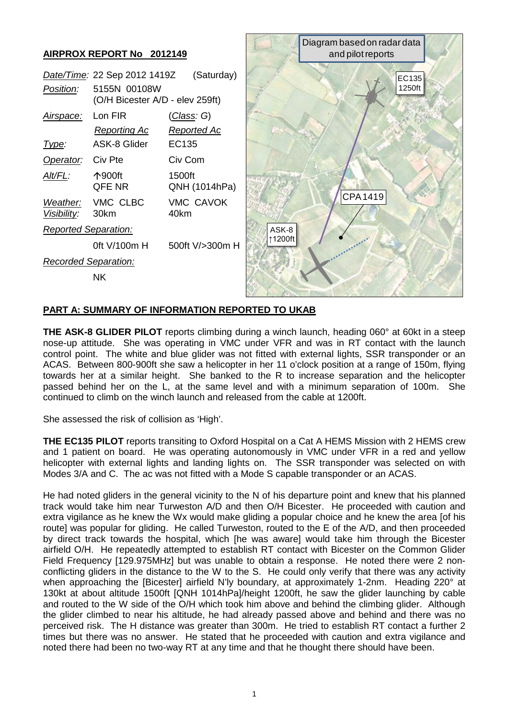

## **PART A: SUMMARY OF INFORMATION REPORTED TO UKAB**

**THE ASK-8 GLIDER PILOT** reports climbing during a winch launch, heading 060° at 60kt in a steep nose-up attitude. She was operating in VMC under VFR and was in RT contact with the launch control point. The white and blue glider was not fitted with external lights, SSR transponder or an ACAS. Between 800-900ft she saw a helicopter in her 11 o'clock position at a range of 150m, flying towards her at a similar height. She banked to the R to increase separation and the helicopter passed behind her on the L, at the same level and with a minimum separation of 100m. She continued to climb on the winch launch and released from the cable at 1200ft.

She assessed the risk of collision as 'High'.

**THE EC135 PILOT** reports transiting to Oxford Hospital on a Cat A HEMS Mission with 2 HEMS crew and 1 patient on board. He was operating autonomously in VMC under VFR in a red and yellow helicopter with external lights and landing lights on. The SSR transponder was selected on with Modes 3/A and C. The ac was not fitted with a Mode S capable transponder or an ACAS.

He had noted gliders in the general vicinity to the N of his departure point and knew that his planned track would take him near Turweston A/D and then O/H Bicester. He proceeded with caution and extra vigilance as he knew the Wx would make gliding a popular choice and he knew the area [of his route] was popular for gliding. He called Turweston, routed to the E of the A/D, and then proceeded by direct track towards the hospital, which [he was aware] would take him through the Bicester airfield O/H. He repeatedly attempted to establish RT contact with Bicester on the Common Glider Field Frequency [129.975MHz] but was unable to obtain a response. He noted there were 2 nonconflicting gliders in the distance to the W to the S. He could only verify that there was any activity when approaching the [Bicester] airfield N'ly boundary, at approximately 1-2nm. Heading 220° at 130kt at about altitude 1500ft [QNH 1014hPa]/height 1200ft, he saw the glider launching by cable and routed to the W side of the O/H which took him above and behind the climbing glider. Although the glider climbed to near his altitude, he had already passed above and behind and there was no perceived risk. The H distance was greater than 300m. He tried to establish RT contact a further 2 times but there was no answer. He stated that he proceeded with caution and extra vigilance and noted there had been no two-way RT at any time and that he thought there should have been.